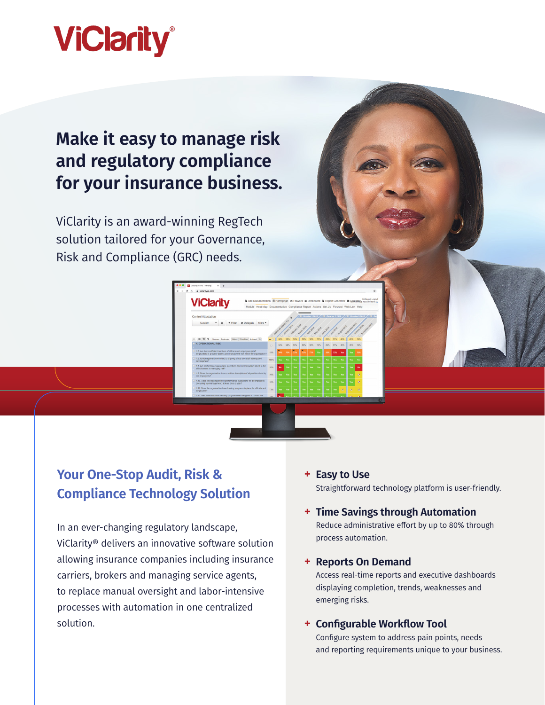

## **Make it easy to manage risk and regulatory compliance for your insurance business.**

ViClarity is an award-winning RegTech solution tailored for your Governance, Risk and Compliance (GRC) needs.

**ViClarity** 

### **Your One-Stop Audit, Risk & Compliance Technology Solution**

In an ever-changing regulatory landscape, ViClarity® delivers an innovative software solution allowing insurance companies including insurance carriers, brokers and managing service agents, to replace manual oversight and labor-intensive processes with automation in one centralized solution.

#### **+ Easy to Use**

Straightforward technology platform is user-friendly.

### **+ Time Savings through Automation**

Reduce administrative effort by up to 80% through process automation.

#### **+ Reports On Demand**

Access real-time reports and executive dashboards displaying completion, trends, weaknesses and emerging risks.

#### **+ Configurable Workflow Tool**

Configure system to address pain points, needs and reporting requirements unique to your business.